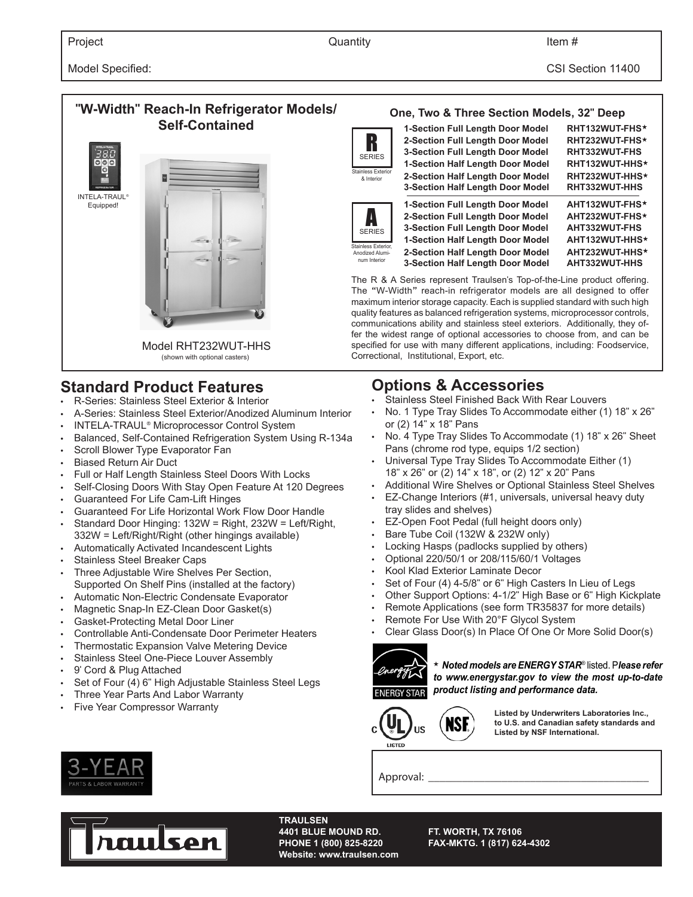# **"W-Width" Reach-In Refrigerator Models/ Self-Contained** Model RHT232WUT-HHS (shown with optional casters) INTELA-TRAUL® Equipped!

# **Standard Product Features**

- R-Series: Stainless Steel Exterior & Interior
- A-Series: Stainless Steel Exterior/Anodized Aluminum Interior
- INTELA-TRAUL® Microprocessor Control System
- Balanced, Self-Contained Refrigeration System Using R-134a
- Scroll Blower Type Evaporator Fan
- Biased Return Air Duct
- Full or Half Length Stainless Steel Doors With Locks
- Self-Closing Doors With Stay Open Feature At 120 Degrees
- Guaranteed For Life Cam-Lift Hinges
- Guaranteed For Life Horizontal Work Flow Door Handle
- Standard Door Hinging: 132W = Right, 232W = Left/Right, 332W = Left/Right/Right (other hingings available)
- Automatically Activated Incandescent Lights
- Stainless Steel Breaker Caps
- Three Adjustable Wire Shelves Per Section, Supported On Shelf Pins (installed at the factory)
- Automatic Non-Electric Condensate Evaporator
- Magnetic Snap-In EZ-Clean Door Gasket(s)
- Gasket-Protecting Metal Door Liner
- Controllable Anti-Condensate Door Perimeter Heaters
- Thermostatic Expansion Valve Metering Device
- Stainless Steel One-Piece Louver Assembly
- 9' Cord & Plug Attached
- Set of Four (4) 6" High Adjustable Stainless Steel Legs
- Three Year Parts And Labor Warranty
- Five Year Compressor Warranty





A SERIES Stainless Exterior Anodized Aluminum Interior

| 1-Section Full Length Door Model        | RHT132WUT-FHS* |
|-----------------------------------------|----------------|
| 2-Section Full Length Door Model        | RHT232WUT-FHS* |
| <b>3-Section Full Length Door Model</b> | RHT332WUT-FHS  |
| 1-Section Half Length Door Model        | RHT132WUT-HHS* |
| 2-Section Half Length Door Model        | RHT232WUT-HHS* |
| <b>3-Section Half Length Door Model</b> | RHT332WUT-HHS  |
| 1-Section Full Length Door Model        | AHT132WUT-FHS* |
| 2-Section Full Length Door Model        | AHT232WUT-FHS* |
| <b>3-Section Full Length Door Model</b> | AHT332WUT-FHS  |
| 1-Section Half Length Door Model        | AHT132WUT-HHS* |
| 2-Section Half Length Door Model        | AHT232WUT-HHS* |
| <b>3-Section Half Length Door Model</b> | AHT332WUT-HHS  |
|                                         |                |

The R & A Series represent Traulsen's Top-of-the-Line product offering. The "W-Width" reach-in refrigerator models are all designed to offer maximum interior storage capacity. Each is supplied standard with such high quality features as balanced refrigeration systems, microprocessor controls, communications ability and stainless steel exteriors. Additionally, they offer the widest range of optional accessories to choose from, and can be specified for use with many different applications, including: Foodservice, Correctional, Institutional, Export, etc.

# **Options & Accessories**

- Stainless Steel Finished Back With Rear Louvers
- No. 1 Type Tray Slides To Accommodate either (1) 18" x 26" or (2) 14" x 18" Pans
- No. 4 Type Tray Slides To Accommodate (1) 18" x 26" Sheet Pans (chrome rod type, equips 1/2 section)
- Universal Type Tray Slides To Accommodate Either (1) 18" x 26" or (2) 14" x 18", or (2) 12" x 20" Pans
- Additional Wire Shelves or Optional Stainless Steel Shelves
- EZ-Change Interiors (#1, universals, universal heavy duty tray slides and shelves)
- EZ-Open Foot Pedal (full height doors only)
- Bare Tube Coil (132W & 232W only)
- Locking Hasps (padlocks supplied by others)
- Optional 220/50/1 or 208/115/60/1 Voltages
- Kool Klad Exterior Laminate Decor
- Set of Four (4) 4-5/8" or 6" High Casters In Lieu of Legs
- Other Support Options: 4-1/2" High Base or 6" High Kickplate
- Remote Applications (see form TR35837 for more details)
- Remote For Use With 20°F Glycol System
- Clear Glass Door(s) In Place Of One Or More Solid Door(s)



★ *Noted models are ENERGY STAR*® listed. P*lease refer to www.energystar.gov to view the most up-to-date product listing and performance data.* 



**Listed by Underwriters Laboratories Inc., to U.S. and Canadian safety standards and Listed by NSF International.**

Approval:



**TRAULSEN Website: www.traulsen.com**

**4401 BLUE MOUND RD. FT. WORTH, TX 76106 PHONE 1 (800) 825-8220 FAX-MKTG. 1 (817) 624-4302**